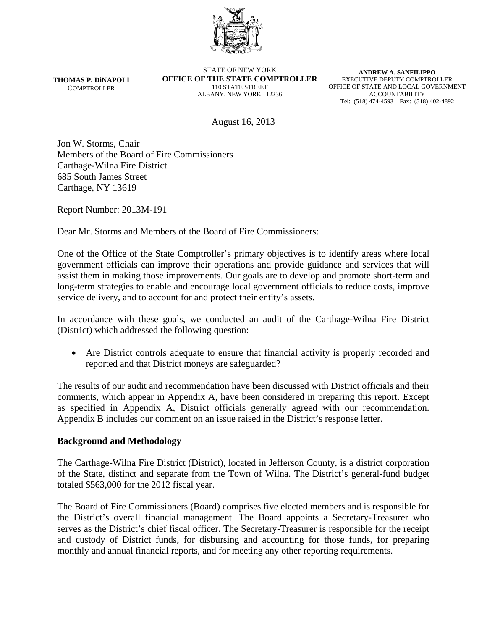

**THOMAS P. DiNAPOLI COMPTROLLER** 

STATE OF NEW YORK **OFFICE OF THE STATE COMPTROLLER**  110 STATE STREET ALBANY, NEW YORK 12236

**ANDREW A. SANFILIPPO**  EXECUTIVE DEPUTY COMPTROLLER OFFICE OF STATE AND LOCAL GOVERNMENT ACCOUNTABILITY Tel: (518) 474-4593 Fax: (518) 402-4892

August 16, 2013

Jon W. Storms, Chair Members of the Board of Fire Commissioners Carthage-Wilna Fire District 685 South James Street Carthage, NY 13619

Report Number: 2013M-191

Dear Mr. Storms and Members of the Board of Fire Commissioners:

One of the Office of the State Comptroller's primary objectives is to identify areas where local government officials can improve their operations and provide guidance and services that will assist them in making those improvements. Our goals are to develop and promote short-term and long-term strategies to enable and encourage local government officials to reduce costs, improve service delivery, and to account for and protect their entity's assets.

In accordance with these goals, we conducted an audit of the Carthage-Wilna Fire District (District) which addressed the following question:

 Are District controls adequate to ensure that financial activity is properly recorded and reported and that District moneys are safeguarded?

The results of our audit and recommendation have been discussed with District officials and their comments, which appear in Appendix A, have been considered in preparing this report. Except as specified in Appendix A, District officials generally agreed with our recommendation. Appendix B includes our comment on an issue raised in the District's response letter.

#### **Background and Methodology**

The Carthage-Wilna Fire District (District), located in Jefferson County, is a district corporation of the State, distinct and separate from the Town of Wilna. The District's general-fund budget totaled \$563,000 for the 2012 fiscal year.

The Board of Fire Commissioners (Board) comprises five elected members and is responsible for the District's overall financial management. The Board appoints a Secretary-Treasurer who serves as the District's chief fiscal officer. The Secretary-Treasurer is responsible for the receipt and custody of District funds, for disbursing and accounting for those funds, for preparing monthly and annual financial reports, and for meeting any other reporting requirements.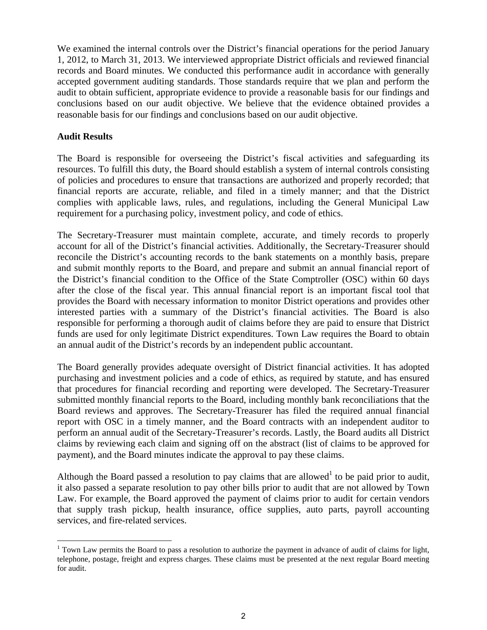We examined the internal controls over the District's financial operations for the period January 1, 2012, to March 31, 2013. We interviewed appropriate District officials and reviewed financial records and Board minutes. We conducted this performance audit in accordance with generally accepted government auditing standards. Those standards require that we plan and perform the audit to obtain sufficient, appropriate evidence to provide a reasonable basis for our findings and conclusions based on our audit objective. We believe that the evidence obtained provides a reasonable basis for our findings and conclusions based on our audit objective.

### **Audit Results**

 $\overline{a}$ 

The Board is responsible for overseeing the District's fiscal activities and safeguarding its resources. To fulfill this duty, the Board should establish a system of internal controls consisting of policies and procedures to ensure that transactions are authorized and properly recorded; that financial reports are accurate, reliable, and filed in a timely manner; and that the District complies with applicable laws, rules, and regulations, including the General Municipal Law requirement for a purchasing policy, investment policy, and code of ethics.

The Secretary-Treasurer must maintain complete, accurate, and timely records to properly account for all of the District's financial activities. Additionally, the Secretary-Treasurer should reconcile the District's accounting records to the bank statements on a monthly basis, prepare and submit monthly reports to the Board, and prepare and submit an annual financial report of the District's financial condition to the Office of the State Comptroller (OSC) within 60 days after the close of the fiscal year. This annual financial report is an important fiscal tool that provides the Board with necessary information to monitor District operations and provides other interested parties with a summary of the District's financial activities. The Board is also responsible for performing a thorough audit of claims before they are paid to ensure that District funds are used for only legitimate District expenditures. Town Law requires the Board to obtain an annual audit of the District's records by an independent public accountant.

The Board generally provides adequate oversight of District financial activities. It has adopted purchasing and investment policies and a code of ethics, as required by statute, and has ensured that procedures for financial recording and reporting were developed. The Secretary-Treasurer submitted monthly financial reports to the Board, including monthly bank reconciliations that the Board reviews and approves. The Secretary-Treasurer has filed the required annual financial report with OSC in a timely manner, and the Board contracts with an independent auditor to perform an annual audit of the Secretary-Treasurer's records. Lastly, the Board audits all District claims by reviewing each claim and signing off on the abstract (list of claims to be approved for payment), and the Board minutes indicate the approval to pay these claims.

Although the Board passed a resolution to pay claims that are allowed<sup>1</sup> to be paid prior to audit, it also passed a separate resolution to pay other bills prior to audit that are not allowed by Town Law. For example, the Board approved the payment of claims prior to audit for certain vendors that supply trash pickup, health insurance, office supplies, auto parts, payroll accounting services, and fire-related services.

 $1$  Town Law permits the Board to pass a resolution to authorize the payment in advance of audit of claims for light, telephone, postage, freight and express charges. These claims must be presented at the next regular Board meeting for audit.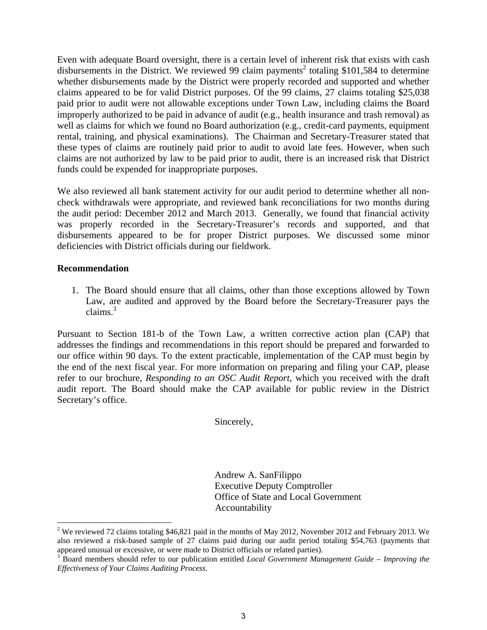Even with adequate Board oversight, there is a certain level of inherent risk that exists with cash disbursements in the District. We reviewed 99 claim payments<sup>2</sup> totaling \$101,584 to determine whether disbursements made by the District were properly recorded and supported and whether claims appeared to be for valid District purposes. Of the 99 claims, 27 claims totaling \$25,038 paid prior to audit were not allowable exceptions under Town Law, including claims the Board improperly authorized to be paid in advance of audit (e.g., health insurance and trash removal) as well as claims for which we found no Board authorization (e.g., credit-card payments, equipment rental, training, and physical examinations). The Chairman and Secretary-Treasurer stated that these types of claims are routinely paid prior to audit to avoid late fees. However, when such claims are not authorized by law to be paid prior to audit, there is an increased risk that District funds could be expended for inappropriate purposes.

We also reviewed all bank statement activity for our audit period to determine whether all noncheck withdrawals were appropriate, and reviewed bank reconciliations for two months during the audit period: December 2012 and March 2013. Generally, we found that financial activity was properly recorded in the Secretary-Treasurer's records and supported, and that disbursements appeared to be for proper District purposes. We discussed some minor deficiencies with District officials during our fieldwork.

#### **Recommendation**

 $\overline{a}$ 

1. The Board should ensure that all claims, other than those exceptions allowed by Town Law, are audited and approved by the Board before the Secretary-Treasurer pays the claims. $3$ 

Pursuant to Section 181-b of the Town Law, a written corrective action plan (CAP) that addresses the findings and recommendations in this report should be prepared and forwarded to our office within 90 days. To the extent practicable, implementation of the CAP must begin by the end of the next fiscal year. For more information on preparing and filing your CAP, please refer to our brochure, *Responding to an OSC Audit Report*, which you received with the draft audit report. The Board should make the CAP available for public review in the District Secretary's office.

Sincerely,

Andrew A. SanFilippo Executive Deputy Comptroller Office of State and Local Government Accountability

<sup>&</sup>lt;sup>2</sup> We reviewed 72 claims totaling \$46,821 paid in the months of May 2012, November 2012 and February 2013. We also reviewed a risk-based sample of 27 claims paid during our audit period totaling \$54,763 (payments that appeared unusual or excessive, or were made to District officials or related parties).

<sup>&</sup>lt;sup>3</sup> Board members should refer to our publication entitled *Local Government Management Guide – Improving the Effectiveness of Your Claims Auditing Process.*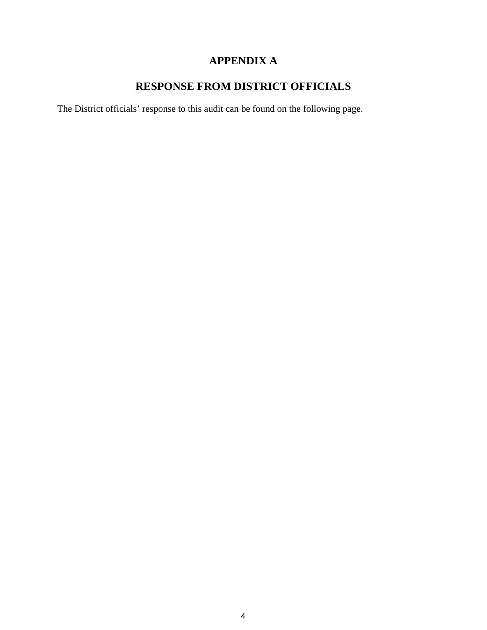## **APPENDIX A**

# **RESPONSE FROM DISTRICT OFFICIALS**

The District officials' response to this audit can be found on the following page.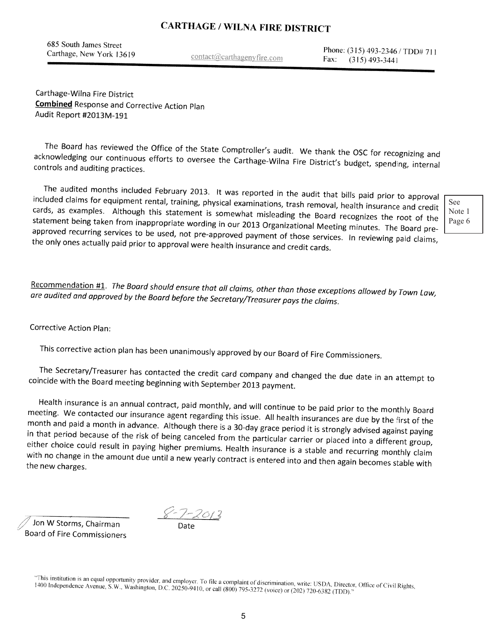# **CARTHAGE / WILNA FIRE DISTRICT**

685 South James Street Carthage, New York 13619

contact@carthagenyfire.com

Phone: (315) 493-2346 / TDD# 711 Fax:  $(315)$  493-3441

Carthage-Wilna Fire District **Combined Response and Corrective Action Plan** Audit Report #2013M-191

The Board has reviewed the Office of the State Comptroller's audit. We thank the OSC for recognizing and acknowledging our continuous efforts to oversee the Carthage-Wilna Fire District's budget, spending, internal controls and auditing practices.

The audited months included February 2013. It was reported in the audit that bills paid prior to approval included claims for equipment rental, training, physical examinations, trash removal, health insurance and credit cards, as examples. Although this statement is somewhat misleading the Board recognizes the root of the statement being taken from inappropriate wording in our 2013 Organizational Meeting minutes. The Board preapproved recurring services to be used, not pre-approved payment of those services. In reviewing paid claims, the only ones actually paid prior to approval were health insurance and credit cards.

See Note 1 Page 6

Recommendation #1. The Board should ensure that all claims, other than those exceptions allowed by Town Law, are audited and approved by the Board before the Secretary/Treasurer pays the claims.

**Corrective Action Plan:** 

This corrective action plan has been unanimously approved by our Board of Fire Commissioners.

The Secretary/Treasurer has contacted the credit card company and changed the due date in an attempt to coincide with the Board meeting beginning with September 2013 payment.

Health insurance is an annual contract, paid monthly, and will continue to be paid prior to the monthly Board meeting. We contacted our insurance agent regarding this issue. All health insurances are due by the first of the month and paid a month in advance. Although there is a 30-day grace period it is strongly advised against paying in that period because of the risk of being canceled from the particular carrier or placed into a different group, either choice could result in paying higher premiums. Health insurance is a stable and recurring monthly claim with no change in the amount due until a new yearly contract is entered into and then again becomes stable with the new charges.

Jon W Storms, Chairman **Board of Fire Commissioners** 

"This institution is an equal opportunity provider, and employer. To file a complaint of discrimination, write: USDA, Director, Office of Civil Rights, 1400 Independence Avenue, S.W., Washington, D.C. 20250-9410, or call (800) 795-3272 (voice) or (202) 720-6382 (TDD).